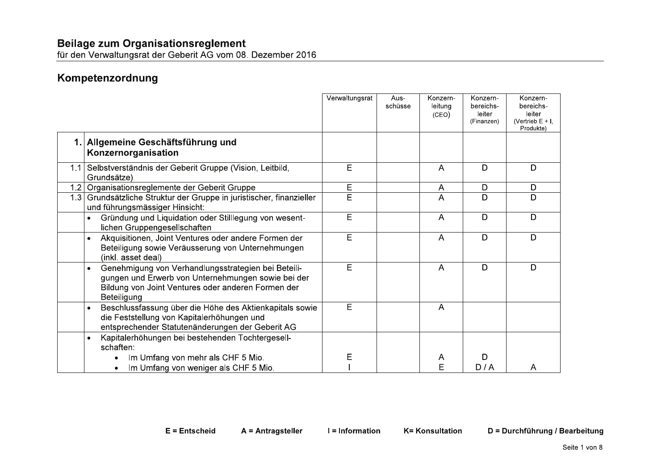für den Verwaltungsrat der Geberit AG vom 08. Dezember 2016

### Kompetenzordnung

|     |                                                                                                                                                                                             | Verwaltungsrat | Aus-<br>schüsse | Konzern-<br>leitung<br>(CEO) | Konzern-<br>bereichs-<br>leiter<br>(Finanzen) | Konzern-<br>bereichs-<br>leiter<br>(Vertrieb $E + I$ ,<br>Produkte) |
|-----|---------------------------------------------------------------------------------------------------------------------------------------------------------------------------------------------|----------------|-----------------|------------------------------|-----------------------------------------------|---------------------------------------------------------------------|
|     | Allgemeine Geschäftsführung und<br>Konzernorganisation                                                                                                                                      |                |                 |                              |                                               |                                                                     |
| 1.1 | Selbstverständnis der Geberit Gruppe (Vision, Leitbild,<br>Grundsätze)                                                                                                                      | E              |                 | A                            | D                                             | D                                                                   |
| 1.2 | Organisationsreglemente der Geberit Gruppe                                                                                                                                                  | E              |                 | A                            | D                                             | D                                                                   |
| 1.3 | Grundsätzliche Struktur der Gruppe in juristischer, finanzieller<br>und führungsmässiger Hinsicht:                                                                                          | Ē              |                 | A                            | D                                             | D                                                                   |
|     | Gründung und Liquidation oder Stilllegung von wesent-<br>$\bullet$<br>lichen Gruppengesellschaften                                                                                          | E              |                 | A                            | D                                             | D                                                                   |
|     | Akquisitionen, Joint Ventures oder andere Formen der<br>$\bullet$<br>Beteiligung sowie Veräusserung von Unternehmungen<br>(inkl. asset deal)                                                | E              |                 | A                            | D                                             | D                                                                   |
|     | Genehmigung von Verhandlungsstrategien bei Beteili-<br>$\bullet$<br>gungen und Erwerb von Unternehmungen sowie bei der<br>Bildung von Joint Ventures oder anderen Formen der<br>Beteiligung | E              |                 | A                            | D                                             | D                                                                   |
|     | Beschlussfassung über die Höhe des Aktienkapitals sowie<br>$\bullet$<br>die Feststellung von Kapitalerhöhungen und<br>entsprechender Statutenänderungen der Geberit AG                      | E              |                 | A                            |                                               |                                                                     |
|     | Kapitalerhöhungen bei bestehenden Tochtergesell-<br>$\bullet$<br>schaften:                                                                                                                  |                |                 |                              |                                               |                                                                     |
|     | Im Umfang von mehr als CHF 5 Mio.<br>Im Umfang von weniger als CHF 5 Mio.                                                                                                                   | Ε              |                 | A<br>F                       | D<br>D/A                                      | A                                                                   |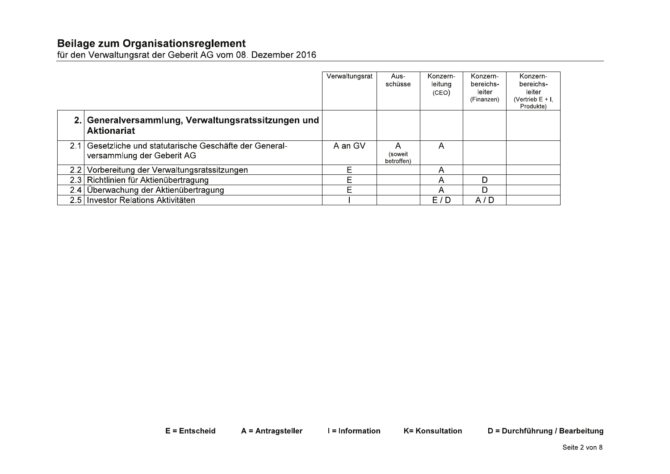|                                                                                        | Verwaltungsrat  | Aus-<br>schüsse                       | Konzern-<br>leitung<br>(CEO) | Konzern-<br>bereichs-<br>leiter<br>(Finanzen) | Konzern-<br>bereichs-<br>leiter<br>(Vertrieb $E + I$ ,<br>Produkte) |               |
|----------------------------------------------------------------------------------------|-----------------|---------------------------------------|------------------------------|-----------------------------------------------|---------------------------------------------------------------------|---------------|
| 2. Generalversammlung, Verwaltungsratssitzungen und<br><b>Aktionariat</b>              |                 |                                       |                              |                                               |                                                                     |               |
| 2.1 Gesetzliche und statutarische Geschäfte der General-<br>versammlung der Geberit AG | A an GV         | $\mathsf{A}$<br>(soweit<br>betroffen) | $\mathsf{A}$                 |                                               |                                                                     |               |
| 2.2 Vorbereitung der Verwaltungsratssitzungen                                          | E               |                                       | A                            |                                               |                                                                     |               |
| 2.3 Richtlinien für Aktienübertragung                                                  | E               |                                       | $\boldsymbol{\mathsf{A}}$    | D                                             |                                                                     |               |
| 2.4 Überwachung der Aktienübertragung                                                  | E               |                                       | $\mathsf{A}$                 | D                                             |                                                                     |               |
| 2.5 Investor Relations Aktivitäten                                                     |                 |                                       | E/D                          | $\overline{A/D}$                              |                                                                     |               |
|                                                                                        |                 |                                       |                              |                                               |                                                                     |               |
| E = Entscheid<br>A = Antragsteller                                                     | I = Information |                                       | <b>K= Konsultation</b>       |                                               | D = Durchführung / Bearbeitung                                      |               |
|                                                                                        |                 |                                       |                              |                                               |                                                                     | Seite 2 von 8 |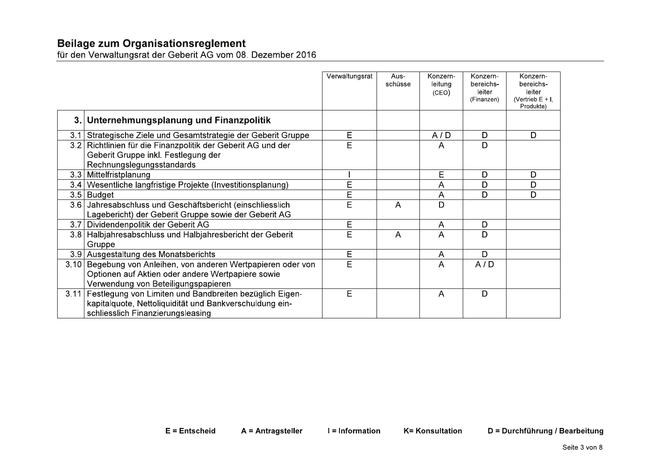|      |                                                                                                                                                         | Verwaltungsrat | Aus-<br>schüsse | Konzern-<br>leitung<br>(CEO) | Konzern-<br>bereichs-<br>leiter<br>(Finanzen) | Konzern-<br>bereichs-<br>leiter<br>(Vertrieb $E + I$ .<br>Produkte) |
|------|---------------------------------------------------------------------------------------------------------------------------------------------------------|----------------|-----------------|------------------------------|-----------------------------------------------|---------------------------------------------------------------------|
| 3.1  | Unternehmungsplanung und Finanzpolitik                                                                                                                  |                |                 |                              |                                               |                                                                     |
| 3.1  | Strategische Ziele und Gesamtstrategie der Geberit Gruppe                                                                                               | Е              |                 | A/D                          | D                                             | D                                                                   |
| 3.2  | Richtlinien für die Finanzpolitik der Geberit AG und der<br>Geberit Gruppe inkl. Festlegung der<br>Rechnungslegungsstandards                            | E              |                 | A                            | D                                             |                                                                     |
| 3.3  | Mittelfristplanung                                                                                                                                      |                |                 | Е                            | D                                             | D                                                                   |
| 3.4  | Wesentliche langfristige Projekte (Investitionsplanung)                                                                                                 | E              |                 | Α                            | D                                             | D                                                                   |
| 3.5  | Budget                                                                                                                                                  | E              |                 | Α                            | D                                             | D                                                                   |
| 3.6  | Jahresabschluss und Geschäftsbericht (einschliesslich<br>Lagebericht) der Geberit Gruppe sowie der Geberit AG                                           | E              | A               | D                            |                                               |                                                                     |
| 3.7  | Dividendenpolitik der Geberit AG                                                                                                                        | Е              |                 | Α                            | D                                             |                                                                     |
| 3.8  | Halbjahresabschluss und Halbjahresbericht der Geberit<br>Gruppe                                                                                         | E              | $\overline{A}$  | A                            | D                                             |                                                                     |
|      | 3.9 Ausgestaltung des Monatsberichts                                                                                                                    | E              |                 | A                            | D                                             |                                                                     |
| 3.10 | Begebung von Anleihen, von anderen Wertpapieren oder von<br>Optionen auf Aktien oder andere Wertpapiere sowie<br>Verwendung von Beteiligungspapieren    | E              |                 | A                            | A/D                                           |                                                                     |
| 3.11 | Festlegung von Limiten und Bandbreiten bezüglich Eigen-<br>kapitalquote, Nettoliquidität und Bankverschuldung ein-<br>schliesslich Finanzierungsleasing | E              |                 | $\overline{A}$               | D                                             |                                                                     |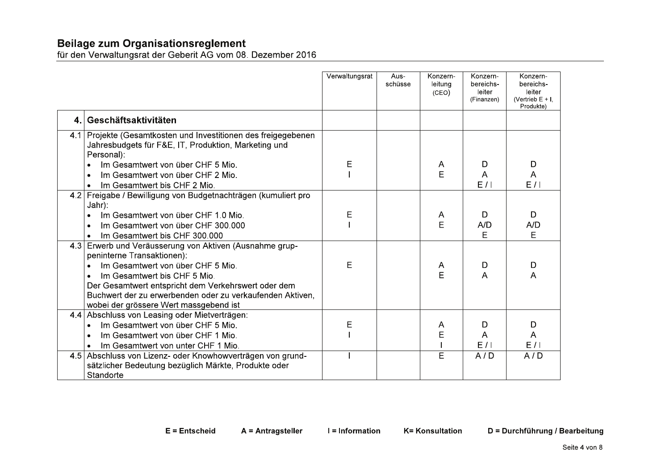|         |                                                                                                                                  | Verwaltungsrat | Aus-<br>schüsse | Konzern-<br>leitung<br>(CEO) | Konzern-<br>bereichs-<br>leiter<br>(Finanzen) | Konzern-<br>bereichs-<br>leiter<br>(Vertrieb $E + I$ .<br>Produkte) |
|---------|----------------------------------------------------------------------------------------------------------------------------------|----------------|-----------------|------------------------------|-----------------------------------------------|---------------------------------------------------------------------|
| $4_{-}$ | Geschäftsaktivitäten                                                                                                             |                |                 |                              |                                               |                                                                     |
| 4.1     | Projekte (Gesamtkosten und Investitionen des freigegebenen<br>Jahresbudgets für F&E, IT, Produktion, Marketing und<br>Personal): |                |                 |                              |                                               |                                                                     |
|         | Im Gesamtwert von über CHF 5 Mio.                                                                                                | Е              |                 | A                            | D                                             | D                                                                   |
|         | Im Gesamtwert von über CHF 2 Mio.                                                                                                |                |                 | E                            | A                                             | Α                                                                   |
|         | Im Gesamtwert bis CHF 2 Mio.                                                                                                     |                |                 |                              | E/1                                           | E/1                                                                 |
| 4.2     | Freigabe / Bewilligung von Budgetnachträgen (kumuliert pro                                                                       |                |                 |                              |                                               |                                                                     |
|         | Jahr):                                                                                                                           |                |                 |                              |                                               |                                                                     |
|         | Im Gesamtwert von über CHF 1.0 Mio.                                                                                              | E              |                 | A                            | D                                             | D                                                                   |
|         | Im Gesamtwert von über CHF 300.000                                                                                               |                |                 | E                            | A/D                                           | A/D                                                                 |
|         | Im Gesamtwert bis CHF 300.000<br>$\bullet$                                                                                       |                |                 |                              | E                                             | E                                                                   |
| 4.3     | Erwerb und Veräusserung von Aktiven (Ausnahme grup-<br>peninterne Transaktionen):                                                |                |                 |                              |                                               |                                                                     |
|         | Im Gesamtwert von über CHF 5 Mio.<br>$\bullet$                                                                                   | E              |                 | A                            | D                                             | D                                                                   |
|         | Im Gesamtwert bis CHF 5 Mio.                                                                                                     |                |                 | E                            | A                                             | A                                                                   |
|         | Der Gesamtwert entspricht dem Verkehrswert oder dem                                                                              |                |                 |                              |                                               |                                                                     |
|         | Buchwert der zu erwerbenden oder zu verkaufenden Aktiven,                                                                        |                |                 |                              |                                               |                                                                     |
|         | wobei der grössere Wert massgebend ist                                                                                           |                |                 |                              |                                               |                                                                     |
| 4.4     | Abschluss von Leasing oder Mietverträgen:                                                                                        |                |                 |                              |                                               |                                                                     |
|         | Im Gesamtwert von über CHF 5 Mio.<br>$\bullet$                                                                                   | Е              |                 | A                            | D                                             | D                                                                   |
|         | Im Gesamtwert von über CHF 1 Mio.                                                                                                |                |                 | E                            | A                                             | A                                                                   |
|         | Im Gesamtwert von unter CHF 1 Mio.                                                                                               |                |                 |                              | E/I                                           | E/I                                                                 |
| 4.5     | Abschluss von Lizenz- oder Knowhowverträgen von grund-                                                                           |                |                 | E                            | A/D                                           | A/D                                                                 |
|         | sätzlicher Bedeutung bezüglich Märkte, Produkte oder                                                                             |                |                 |                              |                                               |                                                                     |
|         | Standorte                                                                                                                        |                |                 |                              |                                               |                                                                     |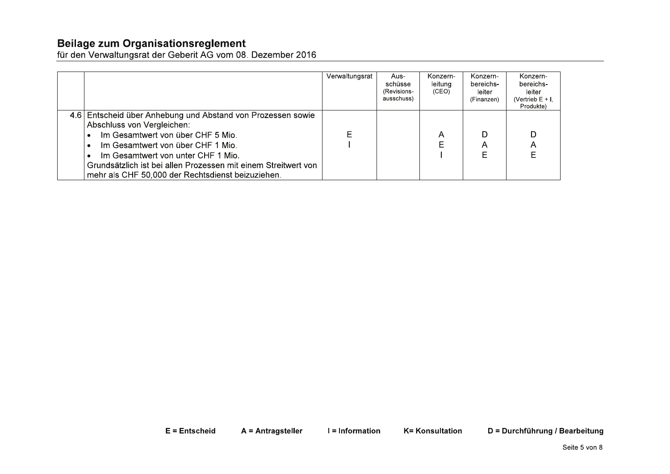|                                                                                                                                                                                                                                                                                                                                  | Verwaltungsrat | Aus-<br>schüsse<br>(Revisions-<br>ausschuss) | Konzern-<br>leitung<br>(CEO) | Konzern-<br>bereichs-<br>leiter<br>(Finanzen) | Konzern-<br>bereichs-<br>leiter<br>(Vertrieb E + I.<br>Produkte) |
|----------------------------------------------------------------------------------------------------------------------------------------------------------------------------------------------------------------------------------------------------------------------------------------------------------------------------------|----------------|----------------------------------------------|------------------------------|-----------------------------------------------|------------------------------------------------------------------|
| 4.6 Entscheid über Anhebung und Abstand von Prozessen sowie<br>Abschluss von Vergleichen:<br>Im Gesamtwert von über CHF 5 Mio.<br>Im Gesamtwert von über CHF 1 Mio.<br>Im Gesamtwert von unter CHF 1 Mio.<br>Grundsätzlich ist bei allen Prozessen mit einem Streitwert von<br>mehr als CHF 50,000 der Rechtsdienst beizuziehen. |                |                                              | Α                            | Α                                             | A                                                                |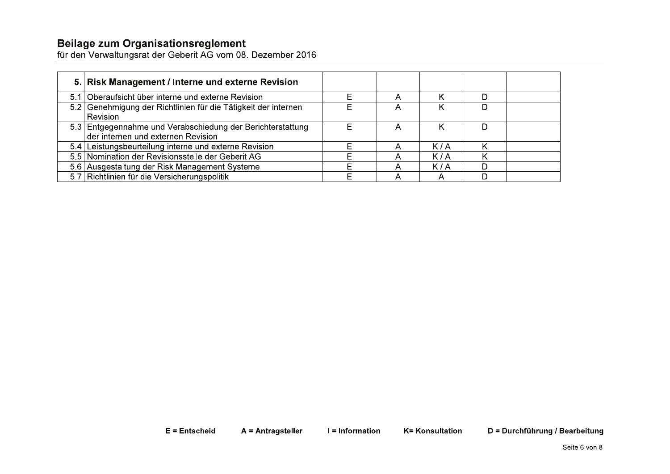|      | 5. Risk Management / Interne und externe Revision                                                |   |     |  |
|------|--------------------------------------------------------------------------------------------------|---|-----|--|
| 5.11 | Oberaufsicht über interne und externe Revision                                                   |   |     |  |
|      | 5.2 Genehmigung der Richtlinien für die Tätigkeit der internen<br>Revision                       | Α |     |  |
|      | 5.3 Entgegennahme und Verabschiedung der Berichterstattung<br>der internen und externen Revision | Α |     |  |
|      | 5.4 Leistungsbeurteilung interne und externe Revision                                            | А | K/A |  |
|      | 5.5 Nomination der Revisionsstelle der Geberit AG                                                | А | K/A |  |
|      | 5.6 Ausgestaltung der Risk Management Systeme                                                    |   | K/A |  |
|      | 5.7 Richtlinien für die Versicherungspolitik                                                     |   |     |  |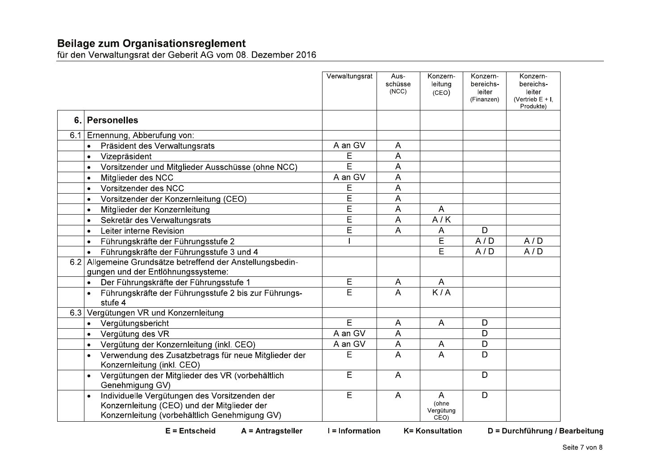|                                                                                                                                               | Verwaltungsrat    | Aus-<br>schüsse<br>(NCC) | Konzern-<br>leitung<br>(CEO)                 | Konzern-<br>bereichs-<br>leiter<br>(Finanzen) | Konzern-<br>bereichs-<br>leiter<br>(Vertrieb $E + I$ ,<br>Produkte) |
|-----------------------------------------------------------------------------------------------------------------------------------------------|-------------------|--------------------------|----------------------------------------------|-----------------------------------------------|---------------------------------------------------------------------|
| 6. Personelles                                                                                                                                |                   |                          |                                              |                                               |                                                                     |
| 6.1 Ernennung, Abberufung von:                                                                                                                |                   |                          |                                              |                                               |                                                                     |
| Präsident des Verwaltungsrats<br>$\bullet$                                                                                                    | A an GV           | $\overline{A}$           |                                              |                                               |                                                                     |
| Vizepräsident<br>$\bullet$                                                                                                                    | E                 | A                        |                                              |                                               |                                                                     |
| Vorsitzender und Mitglieder Ausschüsse (ohne NCC)<br>$\bullet$                                                                                | Ē                 | $\overline{\mathsf{A}}$  |                                              |                                               |                                                                     |
| Mitglieder des NCC<br>$\bullet$                                                                                                               | A an GV           | A                        |                                              |                                               |                                                                     |
| Vorsitzender des NCC<br>$\bullet$                                                                                                             | Е                 | A                        |                                              |                                               |                                                                     |
| Vorsitzender der Konzernleitung (CEO)<br>$\bullet$                                                                                            | E                 | A                        |                                              |                                               |                                                                     |
| Mitglieder der Konzernleitung<br>$\bullet$                                                                                                    | E                 | A                        | A                                            |                                               |                                                                     |
| Sekretär des Verwaltungsrats<br>$\bullet$                                                                                                     | Ē                 | A                        | A/K                                          |                                               |                                                                     |
| Leiter interne Revision<br>$\bullet$                                                                                                          | Ē                 | A                        | A                                            | D                                             |                                                                     |
| Führungskräfte der Führungsstufe 2<br>$\bullet$                                                                                               |                   |                          | E                                            | A/D                                           | A/D                                                                 |
| Führungskräfte der Führungsstufe 3 und 4<br>$\bullet$                                                                                         |                   |                          | E                                            | A/D                                           | A/D                                                                 |
| 6.2 Allgemeine Grundsätze betreffend der Anstellungsbedin-                                                                                    |                   |                          |                                              |                                               |                                                                     |
| gungen und der Entlöhnungssysteme:                                                                                                            |                   |                          |                                              |                                               |                                                                     |
| Der Führungskräfte der Führungsstufe 1<br>$\bullet$                                                                                           | E                 | $\mathsf{A}$             | A                                            |                                               |                                                                     |
| Führungskräfte der Führungsstufe 2 bis zur Führungs-<br>$\bullet$<br>stufe 4                                                                  | E                 | A                        | K/A                                          |                                               |                                                                     |
| 6.3 Vergütungen VR und Konzernleitung                                                                                                         |                   |                          |                                              |                                               |                                                                     |
| Vergütungsbericht<br>$\bullet$                                                                                                                | E                 | $\overline{A}$           | A                                            | D                                             |                                                                     |
| Vergütung des VR<br>$\bullet$                                                                                                                 | A an GV           | A                        |                                              | D                                             |                                                                     |
| Vergütung der Konzernleitung (inkl. CEO)<br>$\bullet$                                                                                         | A an GV           | $\mathsf{A}$             | A                                            | D                                             |                                                                     |
| Verwendung des Zusatzbetrags für neue Mitglieder der<br>Konzernleitung (inkl. CEO)                                                            | E                 | A                        | A                                            | D                                             |                                                                     |
| Vergütungen der Mitglieder des VR (vorbehältlich<br>Genehmigung GV)                                                                           | E                 | $\overline{A}$           |                                              | D                                             |                                                                     |
| Individuelle Vergütungen des Vorsitzenden der<br>Konzernleitung (CEO) und der Mitglieder der<br>Konzernleitung (vorbehältlich Genehmigung GV) | E                 | $\overline{A}$           | $\overline{A}$<br>(ohne<br>Vergütung<br>CEO) | D                                             |                                                                     |
| $E =$ Entscheid<br>A = Antragsteller                                                                                                          | $l = Information$ |                          | <b>K= Konsultation</b>                       |                                               | D = Durchführung / Bearbeitung                                      |